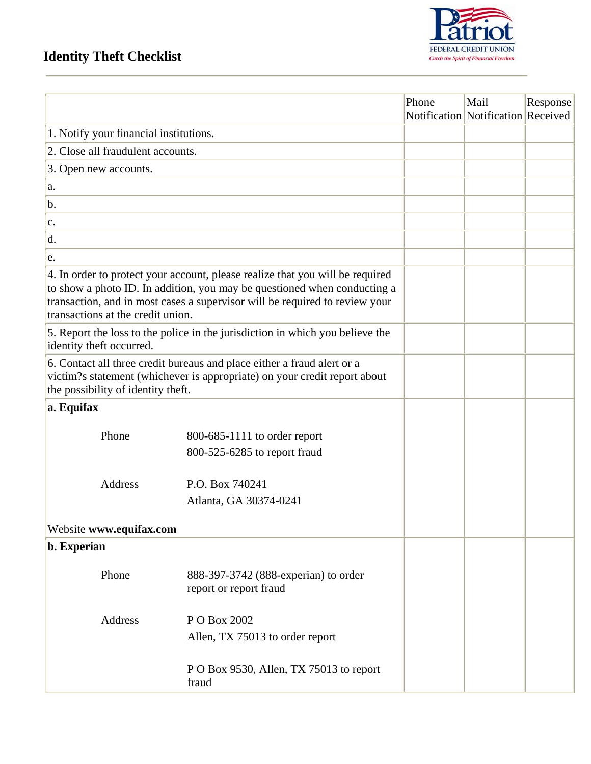## **Identity Theft Checklist**



|                                                                                                                                                                                                                                                                               |                                                                | Phone | Mail<br>Notification Notification Received | Response |
|-------------------------------------------------------------------------------------------------------------------------------------------------------------------------------------------------------------------------------------------------------------------------------|----------------------------------------------------------------|-------|--------------------------------------------|----------|
| 1. Notify your financial institutions.                                                                                                                                                                                                                                        |                                                                |       |                                            |          |
| 2. Close all fraudulent accounts.                                                                                                                                                                                                                                             |                                                                |       |                                            |          |
| 3. Open new accounts.                                                                                                                                                                                                                                                         |                                                                |       |                                            |          |
| a.                                                                                                                                                                                                                                                                            |                                                                |       |                                            |          |
| b.                                                                                                                                                                                                                                                                            |                                                                |       |                                            |          |
| c.                                                                                                                                                                                                                                                                            |                                                                |       |                                            |          |
| d.                                                                                                                                                                                                                                                                            |                                                                |       |                                            |          |
| e.                                                                                                                                                                                                                                                                            |                                                                |       |                                            |          |
| 4. In order to protect your account, please realize that you will be required<br>to show a photo ID. In addition, you may be questioned when conducting a<br>transaction, and in most cases a supervisor will be required to review your<br>transactions at the credit union. |                                                                |       |                                            |          |
| 5. Report the loss to the police in the jurisdiction in which you believe the<br>identity theft occurred.                                                                                                                                                                     |                                                                |       |                                            |          |
| 6. Contact all three credit bureaus and place either a fraud alert or a<br>victim?s statement (whichever is appropriate) on your credit report about<br>the possibility of identity theft.                                                                                    |                                                                |       |                                            |          |
| a. Equifax                                                                                                                                                                                                                                                                    |                                                                |       |                                            |          |
| Phone                                                                                                                                                                                                                                                                         | 800-685-1111 to order report<br>800-525-6285 to report fraud   |       |                                            |          |
| <b>Address</b>                                                                                                                                                                                                                                                                | P.O. Box 740241<br>Atlanta, GA 30374-0241                      |       |                                            |          |
| Website www.equifax.com                                                                                                                                                                                                                                                       |                                                                |       |                                            |          |
| b. Experian                                                                                                                                                                                                                                                                   |                                                                |       |                                            |          |
| Phone                                                                                                                                                                                                                                                                         | 888-397-3742 (888-experian) to order<br>report or report fraud |       |                                            |          |
| Address                                                                                                                                                                                                                                                                       | P O Box 2002<br>Allen, TX 75013 to order report                |       |                                            |          |
|                                                                                                                                                                                                                                                                               | P O Box 9530, Allen, TX 75013 to report<br>fraud               |       |                                            |          |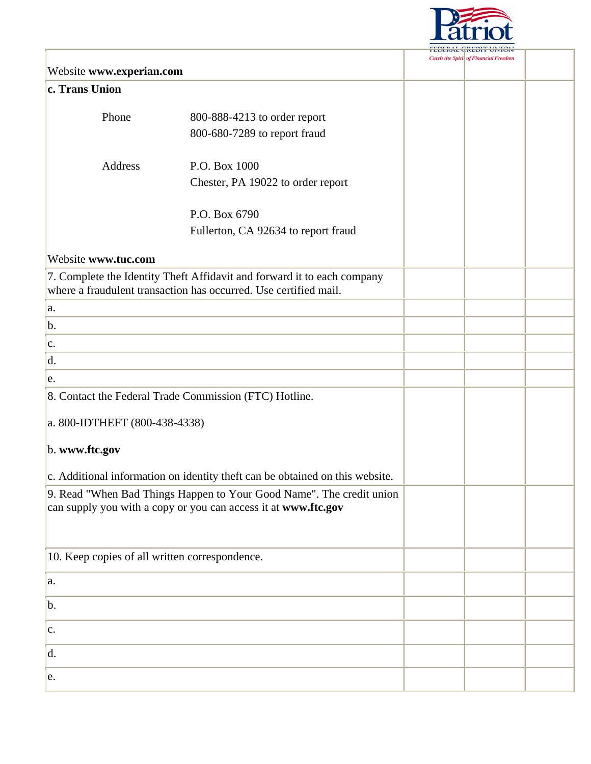

## **Catch the Spiri** of Financial Freedom Website **www.experian.com c. Trans Union** Phone 800-888-4213 to order report 800-680-7289 to report fraud Address P.O. Box 1000 Chester, PA 19022 to order report P.O. Box 6790 Fullerton, CA 92634 to report fraud Website **www.tuc.com**  7. Complete the Identity Theft Affidavit and forward it to each company where a fraudulent transaction has occurred. Use certified mail. a.  $h_{\cdot}$ c. d. e. 8. Contact the Federal Trade Commission (FTC) Hotline. a. 800-IDTHEFT (800-438-4338) b. **www.ftc.gov**  c. Additional information on identity theft can be obtained on this website. 9. Read "When Bad Things Happen to Your Good Name". The credit union can supply you with a copy or you can access it at **www.ftc.gov** 10. Keep copies of all written correspondence. a. b. c. d. e.